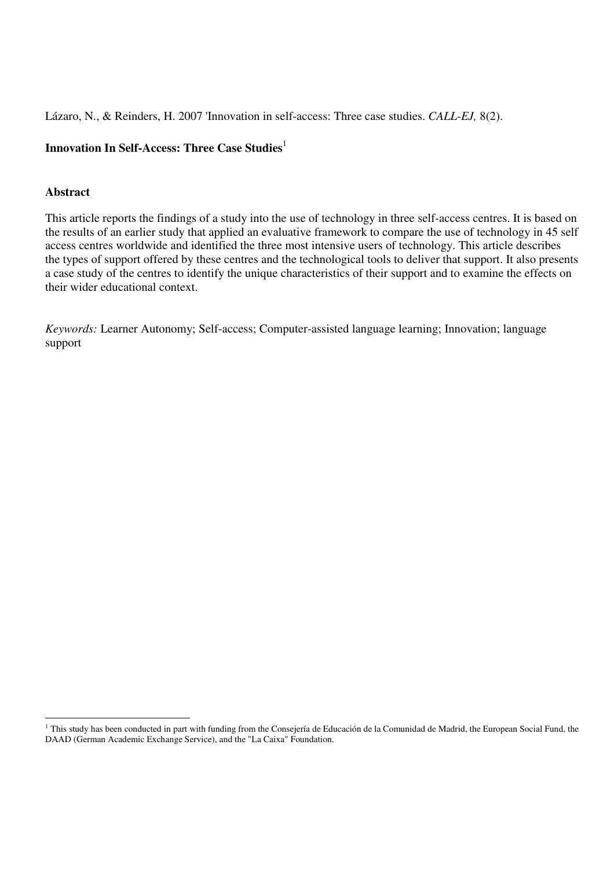Lázaro, N., & Reinders, H. 2007 'Innovation in self-access: Three case studies. *CALL-EJ,* 8(2).

# **Innovation In Self-Access: Three Case Studies**<sup>1</sup>

# **Abstract**

This article reports the findings of a study into the use of technology in three self-access centres. It is based on the results of an earlier study that applied an evaluative framework to compare the use of technology in 45 self access centres worldwide and identified the three most intensive users of technology. This article describes the types of support offered by these centres and the technological tools to deliver that support. It also presents a case study of the centres to identify the unique characteristics of their support and to examine the effects on their wider educational context.

*Keywords:* Learner Autonomy; Self-access; Computer-assisted language learning; Innovation; language support

This study has been conducted in part with funding from the Consejería de Educación de la Comunidad de Madrid, the European Social Fund, the Turopean Social Fund, the DAAD (German Academic Exchange Service), and the "La Caixa" Foundation.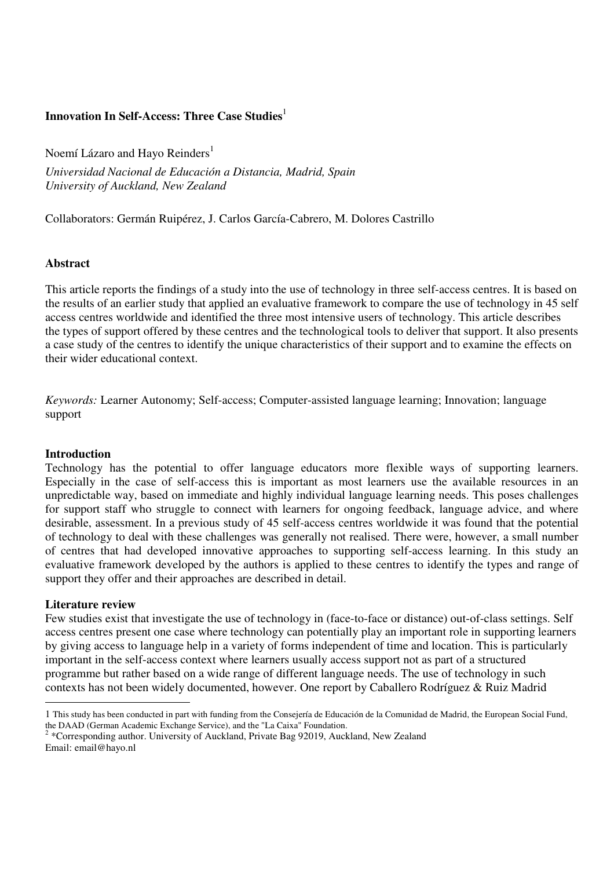# **Innovation In Self-Access: Three Case Studies**<sup>1</sup>

Noemí Lázaro and Hayo Reinders<sup>1</sup>

*Universidad Nacional de Educación a Distancia, Madrid, Spain University of Auckland, New Zealand* 

Collaborators: Germán Ruipérez, J. Carlos García-Cabrero, M. Dolores Castrillo

## **Abstract**

This article reports the findings of a study into the use of technology in three self-access centres. It is based on the results of an earlier study that applied an evaluative framework to compare the use of technology in 45 self access centres worldwide and identified the three most intensive users of technology. This article describes the types of support offered by these centres and the technological tools to deliver that support. It also presents a case study of the centres to identify the unique characteristics of their support and to examine the effects on their wider educational context.

*Keywords:* Learner Autonomy; Self-access; Computer-assisted language learning; Innovation; language support

### **Introduction**

Technology has the potential to offer language educators more flexible ways of supporting learners. Especially in the case of self-access this is important as most learners use the available resources in an unpredictable way, based on immediate and highly individual language learning needs. This poses challenges for support staff who struggle to connect with learners for ongoing feedback, language advice, and where desirable, assessment. In a previous study of 45 self-access centres worldwide it was found that the potential of technology to deal with these challenges was generally not realised. There were, however, a small number of centres that had developed innovative approaches to supporting self-access learning. In this study an evaluative framework developed by the authors is applied to these centres to identify the types and range of support they offer and their approaches are described in detail.

## **Literature review**

-

Few studies exist that investigate the use of technology in (face-to-face or distance) out-of-class settings. Self access centres present one case where technology can potentially play an important role in supporting learners by giving access to language help in a variety of forms independent of time and location. This is particularly important in the self-access context where learners usually access support not as part of a structured programme but rather based on a wide range of different language needs. The use of technology in such contexts has not been widely documented, however. One report by Caballero Rodríguez & Ruiz Madrid

<sup>1</sup> This study has been conducted in part with funding from the Consejería de Educación de la Comunidad de Madrid, the European Social Fund,

the DAAD (German Academic Exchange Service), and the "La Caixa" Foundation.<br><sup>2</sup> \*Corresponding author. University of Auckland, Private Bag 92019, Auckland, New Zealand Email: email@hayo.nl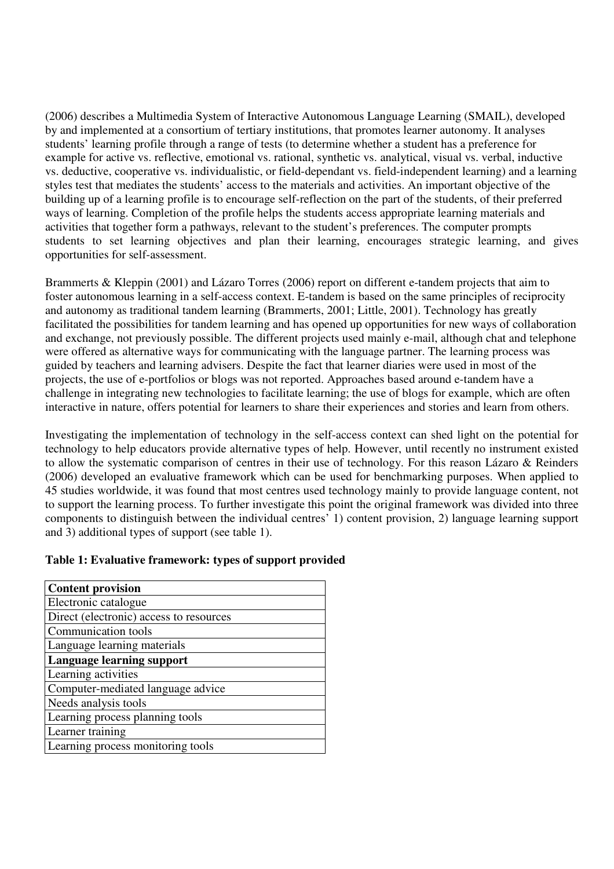(2006) describes a Multimedia System of Interactive Autonomous Language Learning (SMAIL), developed by and implemented at a consortium of tertiary institutions, that promotes learner autonomy. It analyses students' learning profile through a range of tests (to determine whether a student has a preference for example for active vs. reflective, emotional vs. rational, synthetic vs. analytical, visual vs. verbal, inductive vs. deductive, cooperative vs. individualistic, or field-dependant vs. field-independent learning) and a learning styles test that mediates the students' access to the materials and activities. An important objective of the building up of a learning profile is to encourage self-reflection on the part of the students, of their preferred ways of learning. Completion of the profile helps the students access appropriate learning materials and activities that together form a pathways, relevant to the student's preferences. The computer prompts students to set learning objectives and plan their learning, encourages strategic learning, and gives opportunities for self-assessment.

Brammerts & Kleppin (2001) and Lázaro Torres (2006) report on different e-tandem projects that aim to foster autonomous learning in a self-access context. E-tandem is based on the same principles of reciprocity and autonomy as traditional tandem learning (Brammerts, 2001; Little, 2001). Technology has greatly facilitated the possibilities for tandem learning and has opened up opportunities for new ways of collaboration and exchange, not previously possible. The different projects used mainly e-mail, although chat and telephone were offered as alternative ways for communicating with the language partner. The learning process was guided by teachers and learning advisers. Despite the fact that learner diaries were used in most of the projects, the use of e-portfolios or blogs was not reported. Approaches based around e-tandem have a challenge in integrating new technologies to facilitate learning; the use of blogs for example, which are often interactive in nature, offers potential for learners to share their experiences and stories and learn from others.

Investigating the implementation of technology in the self-access context can shed light on the potential for technology to help educators provide alternative types of help. However, until recently no instrument existed to allow the systematic comparison of centres in their use of technology. For this reason Lázaro & Reinders (2006) developed an evaluative framework which can be used for benchmarking purposes. When applied to 45 studies worldwide, it was found that most centres used technology mainly to provide language content, not to support the learning process. To further investigate this point the original framework was divided into three components to distinguish between the individual centres' 1) content provision, 2) language learning support and 3) additional types of support (see table 1).

## **Table 1: Evaluative framework: types of support provided**

| <b>Content provision</b>                |
|-----------------------------------------|
| Electronic catalogue                    |
| Direct (electronic) access to resources |
| Communication tools                     |
| Language learning materials             |
| Language learning support               |
| Learning activities                     |
| Computer-mediated language advice       |
| Needs analysis tools                    |
| Learning process planning tools         |
| Learner training                        |
| Learning process monitoring tools       |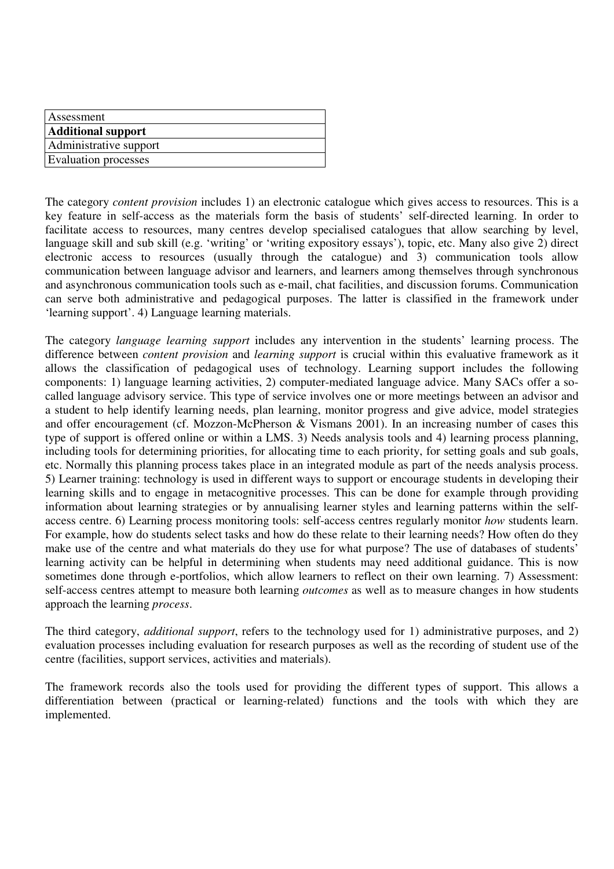| Assessment                  |  |
|-----------------------------|--|
| <b>Additional support</b>   |  |
| Administrative support      |  |
| <b>Evaluation processes</b> |  |
|                             |  |

The category *content provision* includes 1) an electronic catalogue which gives access to resources. This is a key feature in self-access as the materials form the basis of students' self-directed learning. In order to facilitate access to resources, many centres develop specialised catalogues that allow searching by level, language skill and sub skill (e.g. 'writing' or 'writing expository essays'), topic, etc. Many also give 2) direct electronic access to resources (usually through the catalogue) and 3) communication tools allow communication between language advisor and learners, and learners among themselves through synchronous and asynchronous communication tools such as e-mail, chat facilities, and discussion forums. Communication can serve both administrative and pedagogical purposes. The latter is classified in the framework under 'learning support'. 4) Language learning materials.

The category *language learning support* includes any intervention in the students' learning process. The difference between *content provision* and *learning support* is crucial within this evaluative framework as it allows the classification of pedagogical uses of technology. Learning support includes the following components: 1) language learning activities, 2) computer-mediated language advice. Many SACs offer a socalled language advisory service. This type of service involves one or more meetings between an advisor and a student to help identify learning needs, plan learning, monitor progress and give advice, model strategies and offer encouragement (cf. Mozzon-McPherson & Vismans 2001). In an increasing number of cases this type of support is offered online or within a LMS. 3) Needs analysis tools and 4) learning process planning, including tools for determining priorities, for allocating time to each priority, for setting goals and sub goals, etc. Normally this planning process takes place in an integrated module as part of the needs analysis process. 5) Learner training: technology is used in different ways to support or encourage students in developing their learning skills and to engage in metacognitive processes. This can be done for example through providing information about learning strategies or by annualising learner styles and learning patterns within the selfaccess centre. 6) Learning process monitoring tools: self-access centres regularly monitor *how* students learn. For example, how do students select tasks and how do these relate to their learning needs? How often do they make use of the centre and what materials do they use for what purpose? The use of databases of students' learning activity can be helpful in determining when students may need additional guidance. This is now sometimes done through e-portfolios, which allow learners to reflect on their own learning. 7) Assessment: self-access centres attempt to measure both learning *outcomes* as well as to measure changes in how students approach the learning *process*.

The third category, *additional support*, refers to the technology used for 1) administrative purposes, and 2) evaluation processes including evaluation for research purposes as well as the recording of student use of the centre (facilities, support services, activities and materials).

The framework records also the tools used for providing the different types of support. This allows a differentiation between (practical or learning-related) functions and the tools with which they are implemented.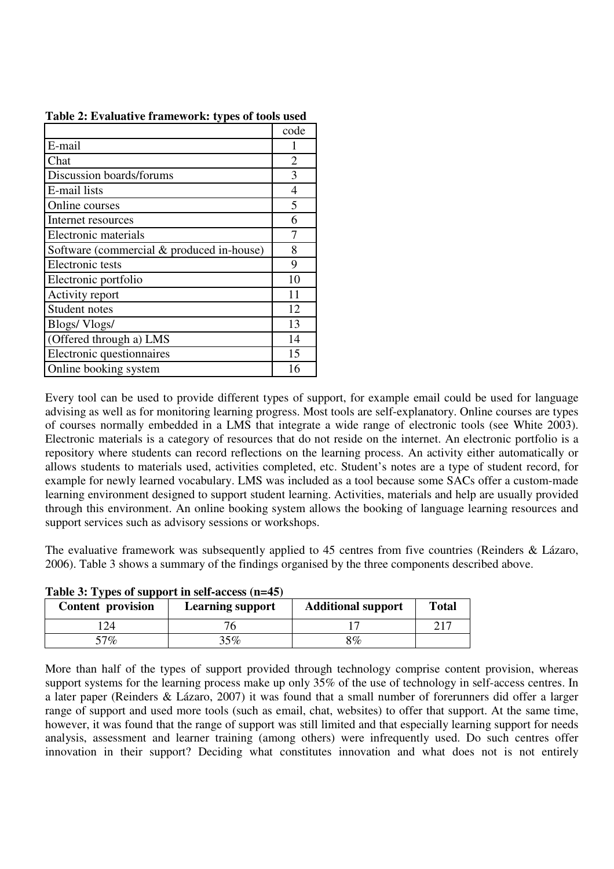|                                           | code |
|-------------------------------------------|------|
| E-mail                                    |      |
| Chat                                      | 2    |
| Discussion boards/forums                  | 3    |
| E-mail lists                              | 4    |
| Online courses                            | 5    |
| Internet resources                        | 6    |
| Electronic materials                      | 7    |
| Software (commercial & produced in-house) | 8    |
| Electronic tests                          | 9    |
| Electronic portfolio                      | 10   |
| Activity report                           | 11   |
| Student notes                             | 12   |
| Blogs/Vlogs/                              | 13   |
| (Offered through a) LMS                   | 14   |
| Electronic questionnaires                 | 15   |
| Online booking system                     | 16   |

**Table 2: Evaluative framework: types of tools used** 

Every tool can be used to provide different types of support, for example email could be used for language advising as well as for monitoring learning progress. Most tools are self-explanatory. Online courses are types of courses normally embedded in a LMS that integrate a wide range of electronic tools (see White 2003). Electronic materials is a category of resources that do not reside on the internet. An electronic portfolio is a repository where students can record reflections on the learning process. An activity either automatically or allows students to materials used, activities completed, etc. Student's notes are a type of student record, for example for newly learned vocabulary. LMS was included as a tool because some SACs offer a custom-made learning environment designed to support student learning. Activities, materials and help are usually provided through this environment. An online booking system allows the booking of language learning resources and support services such as advisory sessions or workshops.

The evaluative framework was subsequently applied to 45 centres from five countries (Reinders & Lázaro, 2006). Table 3 shows a summary of the findings organised by the three components described above.

| <b>Content provision</b> | <b>Additional support</b><br><b>Learning support</b> |    | <b>Total</b> |
|--------------------------|------------------------------------------------------|----|--------------|
| 124                      |                                                      |    |              |
| $57\%$                   | 35%                                                  | 8% |              |

**Table 3: Types of support in self-access (n=45)** 

More than half of the types of support provided through technology comprise content provision, whereas support systems for the learning process make up only 35% of the use of technology in self-access centres. In a later paper (Reinders & Lázaro, 2007) it was found that a small number of forerunners did offer a larger range of support and used more tools (such as email, chat, websites) to offer that support. At the same time, however, it was found that the range of support was still limited and that especially learning support for needs analysis, assessment and learner training (among others) were infrequently used. Do such centres offer innovation in their support? Deciding what constitutes innovation and what does not is not entirely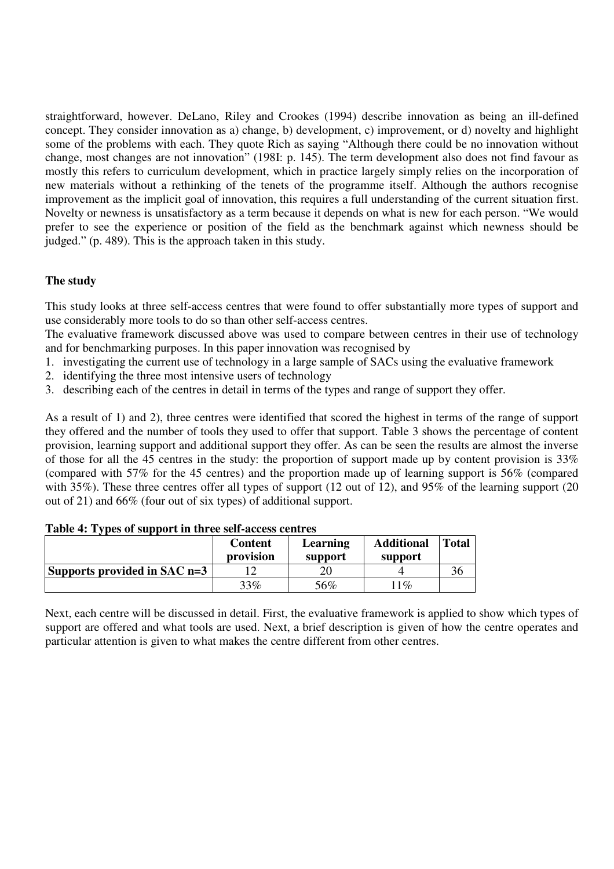straightforward, however. DeLano, Riley and Crookes (1994) describe innovation as being an ill-defined concept. They consider innovation as a) change, b) development, c) improvement, or d) novelty and highlight some of the problems with each. They quote Rich as saying "Although there could be no innovation without change, most changes are not innovation" (198I: p. 145). The term development also does not find favour as mostly this refers to curriculum development, which in practice largely simply relies on the incorporation of new materials without a rethinking of the tenets of the programme itself. Although the authors recognise improvement as the implicit goal of innovation, this requires a full understanding of the current situation first. Novelty or newness is unsatisfactory as a term because it depends on what is new for each person. "We would prefer to see the experience or position of the field as the benchmark against which newness should be judged." (p. 489). This is the approach taken in this study.

# **The study**

This study looks at three self-access centres that were found to offer substantially more types of support and use considerably more tools to do so than other self-access centres.

The evaluative framework discussed above was used to compare between centres in their use of technology and for benchmarking purposes. In this paper innovation was recognised by

- 1. investigating the current use of technology in a large sample of SACs using the evaluative framework
- 2. identifying the three most intensive users of technology
- 3. describing each of the centres in detail in terms of the types and range of support they offer.

As a result of 1) and 2), three centres were identified that scored the highest in terms of the range of support they offered and the number of tools they used to offer that support. Table 3 shows the percentage of content provision, learning support and additional support they offer. As can be seen the results are almost the inverse of those for all the 45 centres in the study: the proportion of support made up by content provision is 33% (compared with 57% for the 45 centres) and the proportion made up of learning support is 56% (compared with 35%). These three centres offer all types of support (12 out of 12), and 95% of the learning support (20 out of 21) and 66% (four out of six types) of additional support.

|                                | <b>Content</b><br>provision | Learning<br>support | <b>Additional</b><br>support | <b>Total</b> |
|--------------------------------|-----------------------------|---------------------|------------------------------|--------------|
| Supports provided in SAC $n=3$ |                             |                     |                              |              |
|                                | 33%                         | 56%                 | $\phi$                       |              |

### **Table 4: Types of support in three self-access centres**

Next, each centre will be discussed in detail. First, the evaluative framework is applied to show which types of support are offered and what tools are used. Next, a brief description is given of how the centre operates and particular attention is given to what makes the centre different from other centres.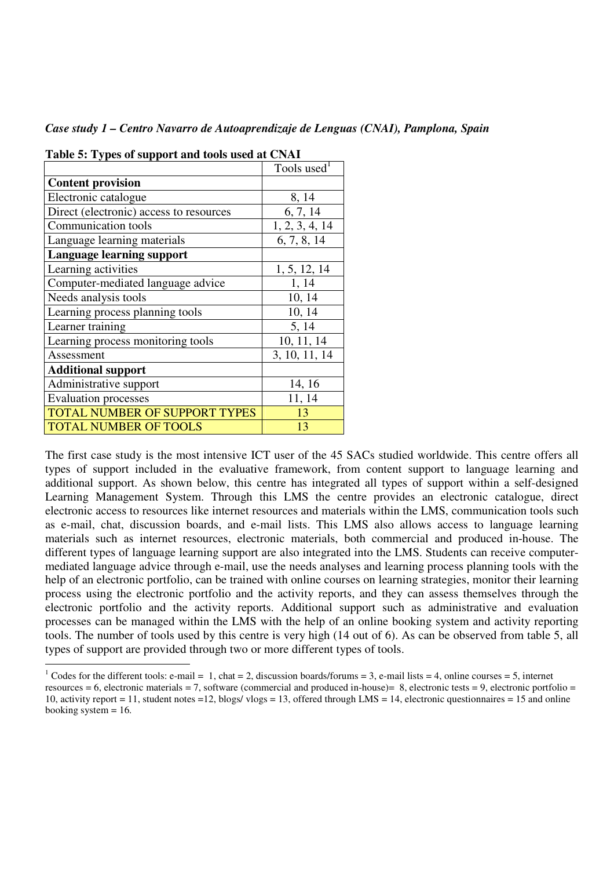*Case study 1 – Centro Navarro de Autoaprendizaje de Lenguas (CNAI), Pamplona, Spain* 

| rabit 5. rypts of support and tools used at Civil |                         |  |
|---------------------------------------------------|-------------------------|--|
|                                                   | Tools used <sup>1</sup> |  |
| <b>Content provision</b>                          |                         |  |
| Electronic catalogue                              | 8, 14                   |  |
| Direct (electronic) access to resources           | 6, 7, 14                |  |
| Communication tools                               | 1, 2, 3, 4, 14          |  |
| Language learning materials                       | 6, 7, 8, 14             |  |
| <b>Language learning support</b>                  |                         |  |
| Learning activities                               | 1, 5, 12, 14            |  |
| Computer-mediated language advice                 | 1, 14                   |  |
| Needs analysis tools                              | 10, 14                  |  |
| Learning process planning tools                   | 10, 14                  |  |
| Learner training                                  | 5, 14                   |  |
| Learning process monitoring tools                 | 10, 11, 14              |  |
| Assessment                                        | 3, 10, 11, 14           |  |
| <b>Additional support</b>                         |                         |  |
| Administrative support                            | 14, 16                  |  |
| <b>Evaluation processes</b>                       | 11, 14                  |  |
| TOTAL NUMBER OF SUPPORT TYPES                     | 13                      |  |
| <b>TOTAL NUMBER OF TOOLS</b>                      | 13                      |  |

-

**Table 5: Types of support and tools used at CNAI** 

The first case study is the most intensive ICT user of the 45 SACs studied worldwide. This centre offers all types of support included in the evaluative framework, from content support to language learning and additional support. As shown below, this centre has integrated all types of support within a self-designed Learning Management System. Through this LMS the centre provides an electronic catalogue, direct electronic access to resources like internet resources and materials within the LMS, communication tools such as e-mail, chat, discussion boards, and e-mail lists. This LMS also allows access to language learning materials such as internet resources, electronic materials, both commercial and produced in-house. The different types of language learning support are also integrated into the LMS. Students can receive computermediated language advice through e-mail, use the needs analyses and learning process planning tools with the help of an electronic portfolio, can be trained with online courses on learning strategies, monitor their learning process using the electronic portfolio and the activity reports, and they can assess themselves through the electronic portfolio and the activity reports. Additional support such as administrative and evaluation processes can be managed within the LMS with the help of an online booking system and activity reporting tools. The number of tools used by this centre is very high (14 out of 6). As can be observed from table 5, all types of support are provided through two or more different types of tools.

<sup>&</sup>lt;sup>1</sup> Codes for the different tools: e-mail = 1, chat = 2, discussion boards/forums = 3, e-mail lists = 4, online courses = 5, internet resources  $= 6$ , electronic materials  $= 7$ , software (commercial and produced in-house) $= 8$ , electronic tests  $= 9$ , electronic portfolio  $=$ 10, activity report = 11, student notes = 12, blogs/ ylogs = 13, offered through LMS = 14, electronic questionnaires = 15 and online booking system  $= 16$ .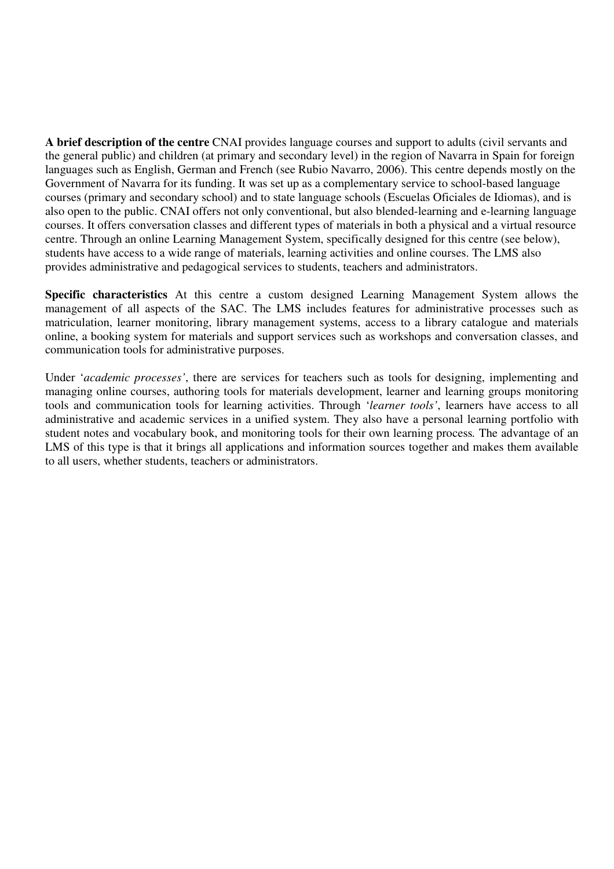**A brief description of the centre** CNAI provides language courses and support to adults (civil servants and the general public) and children (at primary and secondary level) in the region of Navarra in Spain for foreign languages such as English, German and French (see Rubio Navarro, 2006). This centre depends mostly on the Government of Navarra for its funding. It was set up as a complementary service to school-based language courses (primary and secondary school) and to state language schools (Escuelas Oficiales de Idiomas), and is also open to the public. CNAI offers not only conventional, but also blended-learning and e-learning language courses. It offers conversation classes and different types of materials in both a physical and a virtual resource centre. Through an online Learning Management System, specifically designed for this centre (see below), students have access to a wide range of materials, learning activities and online courses. The LMS also provides administrative and pedagogical services to students, teachers and administrators.

**Specific characteristics** At this centre a custom designed Learning Management System allows the management of all aspects of the SAC. The LMS includes features for administrative processes such as matriculation, learner monitoring, library management systems, access to a library catalogue and materials online, a booking system for materials and support services such as workshops and conversation classes, and communication tools for administrative purposes.

Under '*academic processes'*, there are services for teachers such as tools for designing, implementing and managing online courses, authoring tools for materials development, learner and learning groups monitoring tools and communication tools for learning activities. Through '*learner tools'*, learners have access to all administrative and academic services in a unified system. They also have a personal learning portfolio with student notes and vocabulary book, and monitoring tools for their own learning process*.* The advantage of an LMS of this type is that it brings all applications and information sources together and makes them available to all users, whether students, teachers or administrators.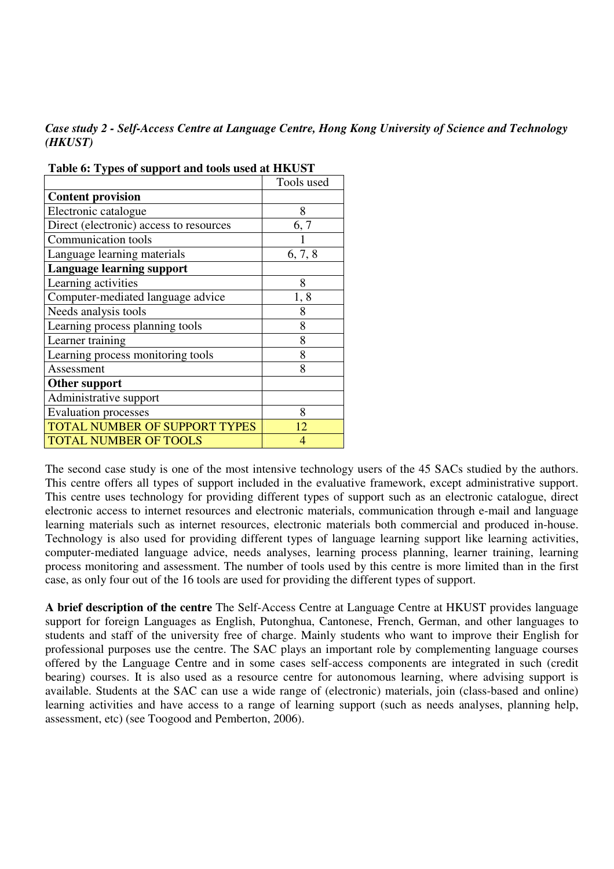*Case study 2 - Self-Access Centre at Language Centre, Hong Kong University of Science and Technology (HKUST)* 

|                                         | Tools used     |
|-----------------------------------------|----------------|
| <b>Content provision</b>                |                |
| Electronic catalogue                    | 8              |
| Direct (electronic) access to resources | 6, 7           |
| Communication tools                     |                |
| Language learning materials             | 6, 7, 8        |
| <b>Language learning support</b>        |                |
| Learning activities                     | 8              |
| Computer-mediated language advice       | 1,8            |
| Needs analysis tools                    | 8              |
| Learning process planning tools         | 8              |
| Learner training                        | 8              |
| Learning process monitoring tools       | 8              |
| Assessment                              | 8              |
| Other support                           |                |
| Administrative support                  |                |
| <b>Evaluation processes</b>             | 8              |
| TOTAL NUMBER OF SUPPORT TYPES           | 12             |
| <b>TOTAL NUMBER OF TOOLS</b>            | $\overline{4}$ |

 **Table 6: Types of support and tools used at HKUST** 

The second case study is one of the most intensive technology users of the 45 SACs studied by the authors. This centre offers all types of support included in the evaluative framework, except administrative support. This centre uses technology for providing different types of support such as an electronic catalogue, direct electronic access to internet resources and electronic materials, communication through e-mail and language learning materials such as internet resources, electronic materials both commercial and produced in-house. Technology is also used for providing different types of language learning support like learning activities, computer-mediated language advice, needs analyses, learning process planning, learner training, learning process monitoring and assessment. The number of tools used by this centre is more limited than in the first case, as only four out of the 16 tools are used for providing the different types of support.

**A brief description of the centre** The Self-Access Centre at Language Centre at HKUST provides language support for foreign Languages as English, Putonghua, Cantonese, French, German, and other languages to students and staff of the university free of charge. Mainly students who want to improve their English for professional purposes use the centre. The SAC plays an important role by complementing language courses offered by the Language Centre and in some cases self-access components are integrated in such (credit bearing) courses. It is also used as a resource centre for autonomous learning, where advising support is available. Students at the SAC can use a wide range of (electronic) materials, join (class-based and online) learning activities and have access to a range of learning support (such as needs analyses, planning help, assessment, etc) (see Toogood and Pemberton, 2006).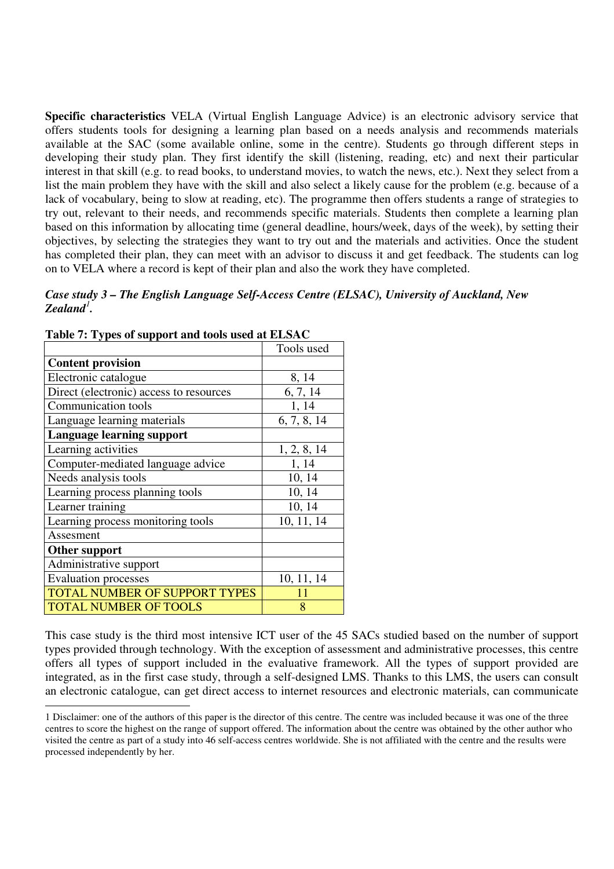**Specific characteristics** VELA (Virtual English Language Advice) is an electronic advisory service that offers students tools for designing a learning plan based on a needs analysis and recommends materials available at the SAC (some available online, some in the centre). Students go through different steps in developing their study plan. They first identify the skill (listening, reading, etc) and next their particular interest in that skill (e.g. to read books, to understand movies, to watch the news, etc.). Next they select from a list the main problem they have with the skill and also select a likely cause for the problem (e.g. because of a lack of vocabulary, being to slow at reading, etc). The programme then offers students a range of strategies to try out, relevant to their needs, and recommends specific materials. Students then complete a learning plan based on this information by allocating time (general deadline, hours/week, days of the week), by setting their objectives, by selecting the strategies they want to try out and the materials and activities. Once the student has completed their plan, they can meet with an advisor to discuss it and get feedback. The students can log on to VELA where a record is kept of their plan and also the work they have completed.

## *Case study 3 – The English Language Self-Access Centre (ELSAC), University of Auckland, New Zealand<sup>1</sup> .*

|                                         | Tools used  |
|-----------------------------------------|-------------|
| <b>Content provision</b>                |             |
| Electronic catalogue                    | 8, 14       |
| Direct (electronic) access to resources | 6, 7, 14    |
| Communication tools                     | 1, 14       |
| Language learning materials             | 6, 7, 8, 14 |
| <b>Language learning support</b>        |             |
| Learning activities                     | 1, 2, 8, 14 |
| Computer-mediated language advice       | 1, 14       |
| Needs analysis tools                    | 10, 14      |
| Learning process planning tools         | 10, 14      |
| Learner training                        | 10, 14      |
| Learning process monitoring tools       | 10, 11, 14  |
| Assesment                               |             |
| <b>Other support</b>                    |             |
| Administrative support                  |             |
| <b>Evaluation processes</b>             | 10, 11, 14  |
| <b>TOTAL NUMBER OF SUPPORT TYPES</b>    | 11          |
| <b>TOTAL NUMBER OF TOOLS</b>            | 8           |

-

## **Table 7: Types of support and tools used at ELSAC**

This case study is the third most intensive ICT user of the 45 SACs studied based on the number of support types provided through technology. With the exception of assessment and administrative processes, this centre offers all types of support included in the evaluative framework. All the types of support provided are integrated, as in the first case study, through a self-designed LMS. Thanks to this LMS, the users can consult an electronic catalogue, can get direct access to internet resources and electronic materials, can communicate

<sup>1</sup> Disclaimer: one of the authors of this paper is the director of this centre. The centre was included because it was one of the three centres to score the highest on the range of support offered. The information about the centre was obtained by the other author who visited the centre as part of a study into 46 self-access centres worldwide. She is not affiliated with the centre and the results were processed independently by her.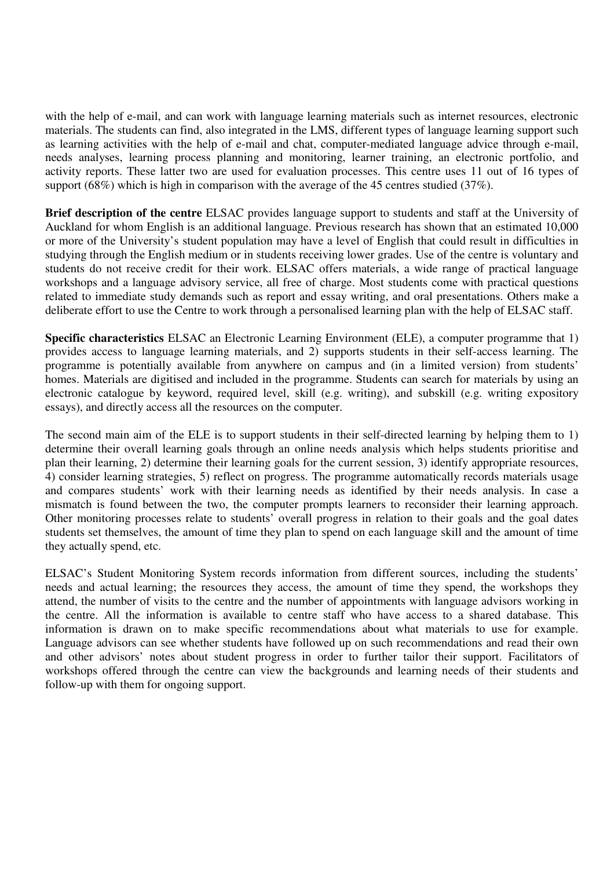with the help of e-mail, and can work with language learning materials such as internet resources, electronic materials. The students can find, also integrated in the LMS, different types of language learning support such as learning activities with the help of e-mail and chat, computer-mediated language advice through e-mail, needs analyses, learning process planning and monitoring, learner training, an electronic portfolio, and activity reports. These latter two are used for evaluation processes. This centre uses 11 out of 16 types of support (68%) which is high in comparison with the average of the 45 centres studied (37%).

**Brief description of the centre** ELSAC provides language support to students and staff at the University of Auckland for whom English is an additional language. Previous research has shown that an estimated 10,000 or more of the University's student population may have a level of English that could result in difficulties in studying through the English medium or in students receiving lower grades. Use of the centre is voluntary and students do not receive credit for their work. ELSAC offers materials, a wide range of practical language workshops and a language advisory service, all free of charge. Most students come with practical questions related to immediate study demands such as report and essay writing, and oral presentations. Others make a deliberate effort to use the Centre to work through a personalised learning plan with the help of ELSAC staff.

**Specific characteristics** ELSAC an Electronic Learning Environment (ELE), a computer programme that 1) provides access to language learning materials, and 2) supports students in their self-access learning. The programme is potentially available from anywhere on campus and (in a limited version) from students' homes. Materials are digitised and included in the programme. Students can search for materials by using an electronic catalogue by keyword, required level, skill (e.g. writing), and subskill (e.g. writing expository essays), and directly access all the resources on the computer.

The second main aim of the ELE is to support students in their self-directed learning by helping them to 1) determine their overall learning goals through an online needs analysis which helps students prioritise and plan their learning, 2) determine their learning goals for the current session, 3) identify appropriate resources, 4) consider learning strategies, 5) reflect on progress. The programme automatically records materials usage and compares students' work with their learning needs as identified by their needs analysis. In case a mismatch is found between the two, the computer prompts learners to reconsider their learning approach. Other monitoring processes relate to students' overall progress in relation to their goals and the goal dates students set themselves, the amount of time they plan to spend on each language skill and the amount of time they actually spend, etc.

ELSAC's Student Monitoring System records information from different sources, including the students' needs and actual learning; the resources they access, the amount of time they spend, the workshops they attend, the number of visits to the centre and the number of appointments with language advisors working in the centre. All the information is available to centre staff who have access to a shared database. This information is drawn on to make specific recommendations about what materials to use for example. Language advisors can see whether students have followed up on such recommendations and read their own and other advisors' notes about student progress in order to further tailor their support. Facilitators of workshops offered through the centre can view the backgrounds and learning needs of their students and follow-up with them for ongoing support.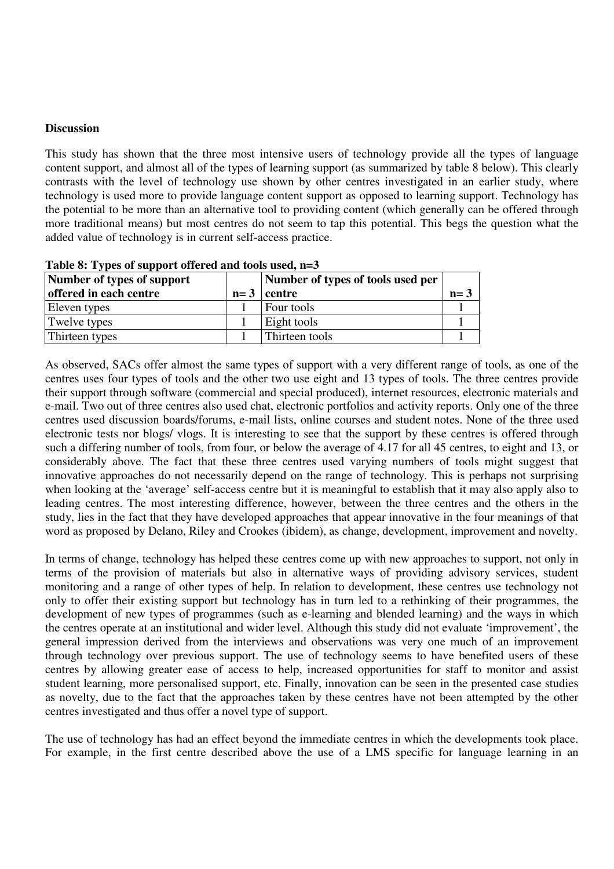## **Discussion**

This study has shown that the three most intensive users of technology provide all the types of language content support, and almost all of the types of learning support (as summarized by table 8 below). This clearly contrasts with the level of technology use shown by other centres investigated in an earlier study, where technology is used more to provide language content support as opposed to learning support. Technology has the potential to be more than an alternative tool to providing content (which generally can be offered through more traditional means) but most centres do not seem to tap this potential. This begs the question what the added value of technology is in current self-access practice.

| Number of types of support |       | Number of types of tools used per |       |
|----------------------------|-------|-----------------------------------|-------|
| offered in each centre     | $n=3$ | centre                            | $n=3$ |
| Eleven types               |       | Four tools                        |       |
| Twelve types               |       | Eight tools                       |       |
| Thirteen types             |       | Thirteen tools                    |       |

**Table 8: Types of support offered and tools used, n=3** 

As observed, SACs offer almost the same types of support with a very different range of tools, as one of the centres uses four types of tools and the other two use eight and 13 types of tools. The three centres provide their support through software (commercial and special produced), internet resources, electronic materials and e-mail. Two out of three centres also used chat, electronic portfolios and activity reports. Only one of the three centres used discussion boards/forums, e-mail lists, online courses and student notes. None of the three used electronic tests nor blogs/ vlogs. It is interesting to see that the support by these centres is offered through such a differing number of tools, from four, or below the average of 4.17 for all 45 centres, to eight and 13, or considerably above. The fact that these three centres used varying numbers of tools might suggest that innovative approaches do not necessarily depend on the range of technology. This is perhaps not surprising when looking at the 'average' self-access centre but it is meaningful to establish that it may also apply also to leading centres. The most interesting difference, however, between the three centres and the others in the study, lies in the fact that they have developed approaches that appear innovative in the four meanings of that word as proposed by Delano, Riley and Crookes (ibidem), as change, development, improvement and novelty.

In terms of change, technology has helped these centres come up with new approaches to support, not only in terms of the provision of materials but also in alternative ways of providing advisory services, student monitoring and a range of other types of help. In relation to development, these centres use technology not only to offer their existing support but technology has in turn led to a rethinking of their programmes, the development of new types of programmes (such as e-learning and blended learning) and the ways in which the centres operate at an institutional and wider level. Although this study did not evaluate 'improvement', the general impression derived from the interviews and observations was very one much of an improvement through technology over previous support. The use of technology seems to have benefited users of these centres by allowing greater ease of access to help, increased opportunities for staff to monitor and assist student learning, more personalised support, etc. Finally, innovation can be seen in the presented case studies as novelty, due to the fact that the approaches taken by these centres have not been attempted by the other centres investigated and thus offer a novel type of support.

The use of technology has had an effect beyond the immediate centres in which the developments took place. For example, in the first centre described above the use of a LMS specific for language learning in an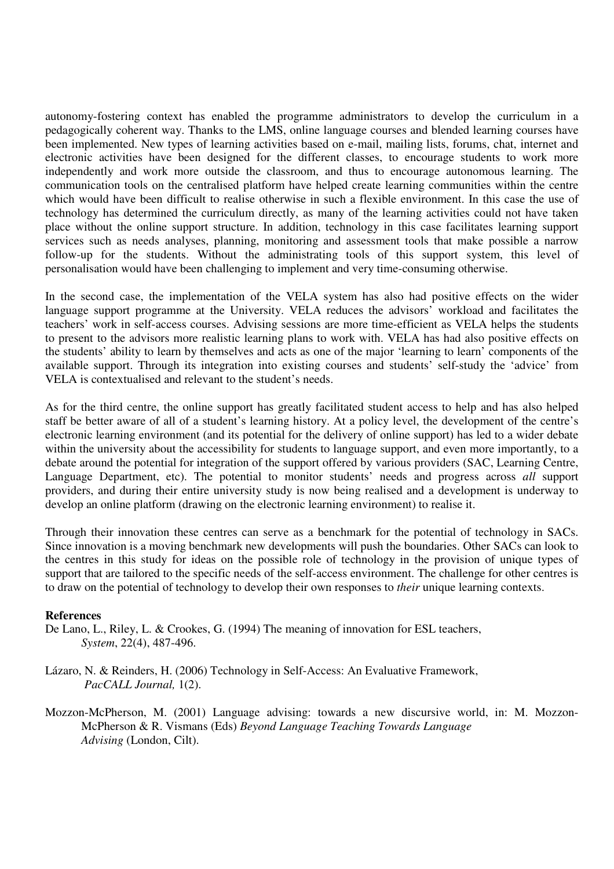autonomy-fostering context has enabled the programme administrators to develop the curriculum in a pedagogically coherent way. Thanks to the LMS, online language courses and blended learning courses have been implemented. New types of learning activities based on e-mail, mailing lists, forums, chat, internet and electronic activities have been designed for the different classes, to encourage students to work more independently and work more outside the classroom, and thus to encourage autonomous learning. The communication tools on the centralised platform have helped create learning communities within the centre which would have been difficult to realise otherwise in such a flexible environment. In this case the use of technology has determined the curriculum directly, as many of the learning activities could not have taken place without the online support structure. In addition, technology in this case facilitates learning support services such as needs analyses, planning, monitoring and assessment tools that make possible a narrow follow-up for the students. Without the administrating tools of this support system, this level of personalisation would have been challenging to implement and very time-consuming otherwise.

In the second case, the implementation of the VELA system has also had positive effects on the wider language support programme at the University. VELA reduces the advisors' workload and facilitates the teachers' work in self-access courses. Advising sessions are more time-efficient as VELA helps the students to present to the advisors more realistic learning plans to work with. VELA has had also positive effects on the students' ability to learn by themselves and acts as one of the major 'learning to learn' components of the available support. Through its integration into existing courses and students' self-study the 'advice' from VELA is contextualised and relevant to the student's needs.

As for the third centre, the online support has greatly facilitated student access to help and has also helped staff be better aware of all of a student's learning history. At a policy level, the development of the centre's electronic learning environment (and its potential for the delivery of online support) has led to a wider debate within the university about the accessibility for students to language support, and even more importantly, to a debate around the potential for integration of the support offered by various providers (SAC, Learning Centre, Language Department, etc). The potential to monitor students' needs and progress across *all* support providers, and during their entire university study is now being realised and a development is underway to develop an online platform (drawing on the electronic learning environment) to realise it.

Through their innovation these centres can serve as a benchmark for the potential of technology in SACs. Since innovation is a moving benchmark new developments will push the boundaries. Other SACs can look to the centres in this study for ideas on the possible role of technology in the provision of unique types of support that are tailored to the specific needs of the self-access environment. The challenge for other centres is to draw on the potential of technology to develop their own responses to *their* unique learning contexts.

### **References**

- De Lano, L., Riley, L. & Crookes, G. (1994) The meaning of innovation for ESL teachers, *System*, 22(4), 487-496.
- Lázaro, N. & Reinders, H. (2006) Technology in Self-Access: An Evaluative Framework, *PacCALL Journal,* 1(2).
- Mozzon-McPherson, M. (2001) Language advising: towards a new discursive world, in: M. Mozzon-McPherson & R. Vismans (Eds) *Beyond Language Teaching Towards Language Advising* (London, Cilt).